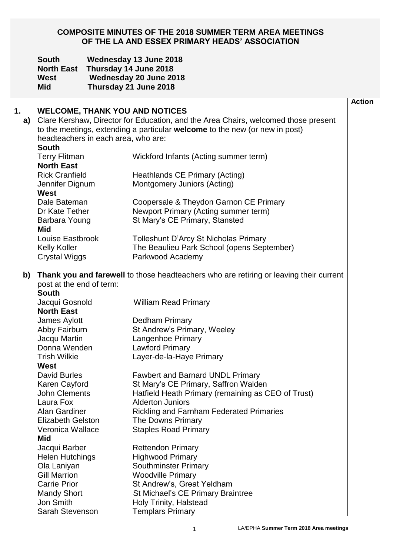#### **COMPOSITE MINUTES OF THE 2018 SUMMER TERM AREA MEETINGS OF THE LA AND ESSEX PRIMARY HEADS' ASSOCIATION**

|          | <b>South</b><br><b>North East</b><br>West<br><b>Mid</b>                                                                                                                                                                                                                  | Wednesday 13 June 2018<br>Thursday 14 June 2018<br>Wednesday 20 June 2018<br>Thursday 21 June 2018 |                                                                                                                  |  |  |
|----------|--------------------------------------------------------------------------------------------------------------------------------------------------------------------------------------------------------------------------------------------------------------------------|----------------------------------------------------------------------------------------------------|------------------------------------------------------------------------------------------------------------------|--|--|
| 1.<br>a) | <b>WELCOME, THANK YOU AND NOTICES</b><br>Clare Kershaw, Director for Education, and the Area Chairs, welcomed those present<br>to the meetings, extending a particular <b>welcome</b> to the new (or new in post)<br>headteachers in each area, who are:<br><b>South</b> |                                                                                                    |                                                                                                                  |  |  |
|          | <b>Terry Flitman</b><br><b>North East</b>                                                                                                                                                                                                                                |                                                                                                    | Wickford Infants (Acting summer term)                                                                            |  |  |
|          | <b>Rick Cranfield</b><br>Jennifer Dignum<br>West                                                                                                                                                                                                                         |                                                                                                    | Heathlands CE Primary (Acting)<br>Montgomery Juniors (Acting)                                                    |  |  |
|          | Dale Bateman<br>Dr Kate Tether<br>Barbara Young<br><b>Mid</b>                                                                                                                                                                                                            |                                                                                                    | Coopersale & Theydon Garnon CE Primary<br>Newport Primary (Acting summer term)<br>St Mary's CE Primary, Stansted |  |  |
|          | Louise Eastbrook<br><b>Kelly Koller</b><br><b>Crystal Wiggs</b>                                                                                                                                                                                                          |                                                                                                    | <b>Tolleshunt D'Arcy St Nicholas Primary</b><br>The Beaulieu Park School (opens September)<br>Parkwood Academy   |  |  |
| b)       | post at the end of term:<br><b>South</b>                                                                                                                                                                                                                                 |                                                                                                    | Thank you and farewell to those headteachers who are retiring or leaving their current                           |  |  |
|          | Jacqui Gosnold<br><b>North East</b>                                                                                                                                                                                                                                      |                                                                                                    | <b>William Read Primary</b>                                                                                      |  |  |
|          | James Aylott                                                                                                                                                                                                                                                             |                                                                                                    | <b>Dedham Primary</b>                                                                                            |  |  |
|          | Abby Fairburn                                                                                                                                                                                                                                                            |                                                                                                    | St Andrew's Primary, Weeley                                                                                      |  |  |
|          | Jacqu Martin                                                                                                                                                                                                                                                             |                                                                                                    | Langenhoe Primary                                                                                                |  |  |
|          | Donna Wenden                                                                                                                                                                                                                                                             |                                                                                                    | <b>Lawford Primary</b>                                                                                           |  |  |
|          | <b>Trish Wilkie</b><br><b>West</b>                                                                                                                                                                                                                                       |                                                                                                    | Layer-de-la-Haye Primary                                                                                         |  |  |
|          | <b>David Burles</b>                                                                                                                                                                                                                                                      |                                                                                                    | <b>Fawbert and Barnard UNDL Primary</b>                                                                          |  |  |
|          | Karen Cayford                                                                                                                                                                                                                                                            |                                                                                                    | St Mary's CE Primary, Saffron Walden                                                                             |  |  |
|          | <b>John Clements</b>                                                                                                                                                                                                                                                     |                                                                                                    | Hatfield Heath Primary (remaining as CEO of Trust)                                                               |  |  |
|          | Laura Fox                                                                                                                                                                                                                                                                |                                                                                                    | <b>Alderton Juniors</b>                                                                                          |  |  |
|          | Alan Gardiner                                                                                                                                                                                                                                                            |                                                                                                    | <b>Rickling and Farnham Federated Primaries</b>                                                                  |  |  |
|          | <b>Elizabeth Gelston</b>                                                                                                                                                                                                                                                 |                                                                                                    | The Downs Primary                                                                                                |  |  |
|          | Veronica Wallace<br><b>Mid</b>                                                                                                                                                                                                                                           |                                                                                                    | <b>Staples Road Primary</b>                                                                                      |  |  |
|          | Jacqui Barber                                                                                                                                                                                                                                                            |                                                                                                    | <b>Rettendon Primary</b>                                                                                         |  |  |
|          | <b>Helen Hutchings</b>                                                                                                                                                                                                                                                   |                                                                                                    | <b>Highwood Primary</b>                                                                                          |  |  |
|          | Ola Laniyan                                                                                                                                                                                                                                                              |                                                                                                    | <b>Southminster Primary</b>                                                                                      |  |  |
|          | <b>Gill Marrion</b>                                                                                                                                                                                                                                                      |                                                                                                    | <b>Woodville Primary</b>                                                                                         |  |  |
|          | <b>Carrie Prior</b><br><b>Mandy Short</b>                                                                                                                                                                                                                                |                                                                                                    | St Andrew's, Great Yeldham                                                                                       |  |  |
|          | <b>Jon Smith</b>                                                                                                                                                                                                                                                         |                                                                                                    | St Michael's CE Primary Braintree<br>Holy Trinity, Halstead                                                      |  |  |
|          | Sarah Stevenson                                                                                                                                                                                                                                                          |                                                                                                    | <b>Templars Primary</b>                                                                                          |  |  |
|          |                                                                                                                                                                                                                                                                          |                                                                                                    |                                                                                                                  |  |  |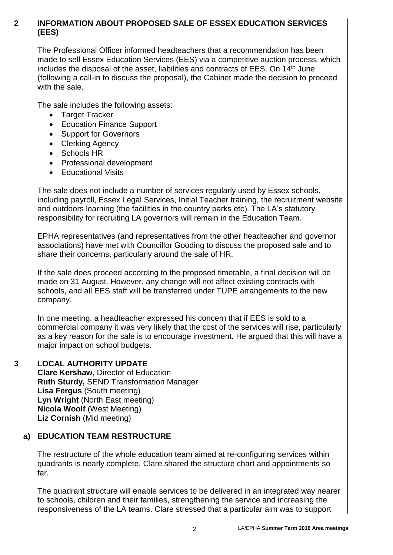#### **2 INFORMATION ABOUT PROPOSED SALE OF ESSEX EDUCATION SERVICES (EES)**

The Professional Officer informed headteachers that a recommendation has been made to sell Essex Education Services (EES) via a competitive auction process, which includes the disposal of the asset, liabilities and contracts of EES. On 14<sup>th</sup> June (following a call-in to discuss the proposal), the Cabinet made the decision to proceed with the sale.

The sale includes the following assets:

- Target Tracker
- Education Finance Support
- Support for Governors
- Clerking Agency
- Schools HR
- Professional development
- **Educational Visits**

The sale does not include a number of services regularly used by Essex schools, including payroll, Essex Legal Services, Initial Teacher training, the recruitment website and outdoors learning (the facilities in the country parks etc). The LA's statutory responsibility for recruiting LA governors will remain in the Education Team.

EPHA representatives (and representatives from the other headteacher and governor associations) have met with Councillor Gooding to discuss the proposed sale and to share their concerns, particularly around the sale of HR.

If the sale does proceed according to the proposed timetable, a final decision will be made on 31 August. However, any change will not affect existing contracts with schools, and all EES staff will be transferred under TUPE arrangements to the new company.

In one meeting, a headteacher expressed his concern that if EES is sold to a commercial company it was very likely that the cost of the services will rise, particularly as a key reason for the sale is to encourage investment. He argued that this will have a major impact on school budgets.

#### **3 LOCAL AUTHORITY UPDATE**

**Clare Kershaw,** Director of Education **Ruth Sturdy,** SEND Transformation Manager **Lisa Fergus** (South meeting) **Lyn Wright** (North East meeting) **Nicola Woolf** (West Meeting) **Liz Cornish** (Mid meeting)

#### **a) EDUCATION TEAM RESTRUCTURE**

The restructure of the whole education team aimed at re-configuring services within quadrants is nearly complete. Clare shared the structure chart and appointments so far.

The quadrant structure will enable services to be delivered in an integrated way nearer to schools, children and their families, strengthening the service and increasing the responsiveness of the LA teams. Clare stressed that a particular aim was to support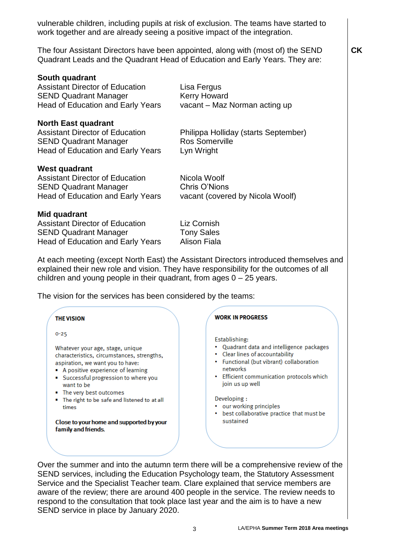vulnerable children, including pupils at risk of exclusion. The teams have started to work together and are already seeing a positive impact of the integration.

The four Assistant Directors have been appointed, along with (most of) the SEND Quadrant Leads and the Quadrant Head of Education and Early Years. They are:

**South quadrant** Assistant Director of Education Lisa Fergus SEND Quadrant Manager Kerry Howard Head of Education and Early Years vacant – Maz Norman acting up **North East quadrant** Assistant Director of Education Philippa Holliday (starts September) SEND Quadrant Manager Ros Somerville Head of Education and Early Years Lyn Wright **West quadrant** Assistant Director of Education Nicola Woolf SEND Quadrant Manager Chris O'Nions Head of Education and Early Years vacant (covered by Nicola Woolf) **Mid quadrant** Assistant Director of Education Liz Cornish

SEND Quadrant Manager Tony Sales Head of Education and Early Years Alison Fiala

At each meeting (except North East) the Assistant Directors introduced themselves and explained their new role and vision. They have responsibility for the outcomes of all children and young people in their quadrant, from ages 0 – 25 years.

The vision for the services has been considered by the teams:



Over the summer and into the autumn term there will be a comprehensive review of the SEND services, including the Education Psychology team, the Statutory Assessment Service and the Specialist Teacher team. Clare explained that service members are aware of the review; there are around 400 people in the service. The review needs to respond to the consultation that took place last year and the aim is to have a new SEND service in place by January 2020.

**CK**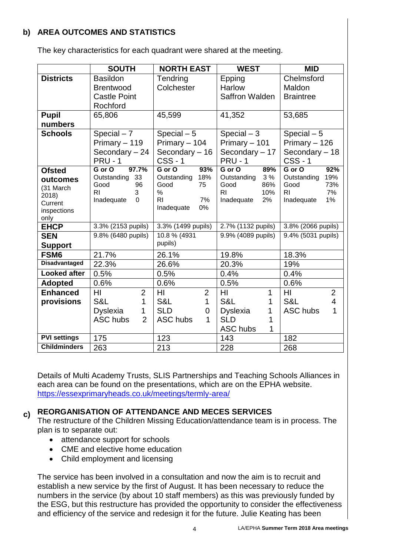# **b) AREA OUTCOMES AND STATISTICS**

The key characteristics for each quadrant were shared at the meeting.

|                        | <b>SOUTH</b>                      | <b>NORTH EAST</b>              | <b>WEST</b>                     | <b>MID</b>                          |
|------------------------|-----------------------------------|--------------------------------|---------------------------------|-------------------------------------|
| <b>Districts</b>       | <b>Basildon</b>                   | Tendring                       | Epping                          | Chelmsford                          |
|                        | <b>Brentwood</b>                  | Colchester                     | <b>Harlow</b>                   | Maldon                              |
|                        | <b>Castle Point</b>               |                                | Saffron Walden                  | <b>Braintree</b>                    |
|                        | Rochford                          |                                |                                 |                                     |
| <b>Pupil</b>           | 65,806                            | 45,599                         | 41,352                          | 53,685                              |
| numbers                |                                   |                                |                                 |                                     |
| <b>Schools</b>         | Special $-7$                      | Special $-5$                   | Special $-3$                    | Special $-5$                        |
|                        | Primary - 119                     | Primary - 104                  | Primary - 101                   | Primary - 126                       |
|                        | Secondary - 24                    | Secondary - 16                 | Secondary - 17                  | Secondary - 18                      |
|                        | <b>PRU - 1</b>                    | $CSS - 1$                      | <b>PRU - 1</b>                  | <b>CSS-1</b>                        |
| <b>Ofsted</b>          | 97.7%<br>G or O                   | 93%<br>G or O                  | G or O<br>89%                   | G or O<br>92%                       |
| outcomes               | Outstanding 33                    | Outstanding 18%                | Outstanding<br>3 %              | 19%<br>Outstanding                  |
| (31 March              | Good<br>96<br>R <sub>1</sub><br>3 | Good<br>75<br>$\%$             | 86%<br>Good<br><b>RI</b><br>10% | 73%<br>Good<br>R <sub>l</sub><br>7% |
| 2018)                  | Inadequate<br>$\mathbf 0$         | 7%<br>R <sub>1</sub>           | Inadequate<br>2%                | Inadequate<br>1%                    |
| Current<br>inspections |                                   | Inadequate<br>0%               |                                 |                                     |
| only                   |                                   |                                |                                 |                                     |
| <b>EHCP</b>            | 3.3% (2153 pupils)                | 3.3% (1499 pupils)             | 2.7% (1132 pupils)              | 3.8% (2066 pupils)                  |
| <b>SEN</b>             | 9.8% (6480 pupils)                | 10.8 % (4931                   | 9.9% (4089 pupils)              | 9.4% (5031 pupils)                  |
| <b>Support</b>         |                                   | pupils)                        |                                 |                                     |
| FSM <sub>6</sub>       | 21.7%                             | 26.1%                          | 19.8%                           | 18.3%                               |
| <b>Disadvantaged</b>   | 22.3%                             | 26.6%                          | 20.3%                           | 19%                                 |
| <b>Looked after</b>    | 0.5%                              | 0.5%                           | 0.4%                            | 0.4%                                |
| <b>Adopted</b>         | 0.6%                              | 0.6%                           | 0.5%                            | 0.6%                                |
| <b>Enhanced</b>        | $\overline{2}$<br>HI              | $\overline{2}$<br>HI           | HI<br>1                         | $\overline{2}$<br>HI                |
| provisions             | S&L<br>1                          | S&L<br>$\mathbf{1}$            | S&L<br>1                        | S&L<br>$\overline{4}$               |
|                        | <b>Dyslexia</b><br>$\mathbf 1$    | <b>SLD</b><br>$\overline{0}$   | <b>Dyslexia</b><br>1            | 1<br><b>ASC hubs</b>                |
|                        | $\overline{2}$<br>ASC hubs        | <b>ASC hubs</b><br>$\mathbf 1$ | <b>SLD</b><br>1                 |                                     |
|                        |                                   |                                | ASC hubs<br>1                   |                                     |
| <b>PVI settings</b>    | 175                               | 123                            | 143                             | 182                                 |
| <b>Childminders</b>    | 263                               | 213                            | 228                             | 268                                 |

Details of Multi Academy Trusts, SLIS Partnerships and Teaching Schools Alliances in each area can be found on the presentations, which are on the EPHA website. <https://essexprimaryheads.co.uk/meetings/termly-area/>

#### **c) REORGANISATION OF ATTENDANCE AND MECES SERVICES**

The restructure of the Children Missing Education/attendance team is in process. The plan is to separate out:

- attendance support for schools
- CME and elective home education
- Child employment and licensing

The service has been involved in a consultation and now the aim is to recruit and establish a new service by the first of August. It has been necessary to reduce the numbers in the service (by about 10 staff members) as this was previously funded by the ESG, but this restructure has provided the opportunity to consider the effectiveness and efficiency of the service and redesign it for the future. Julie Keating has been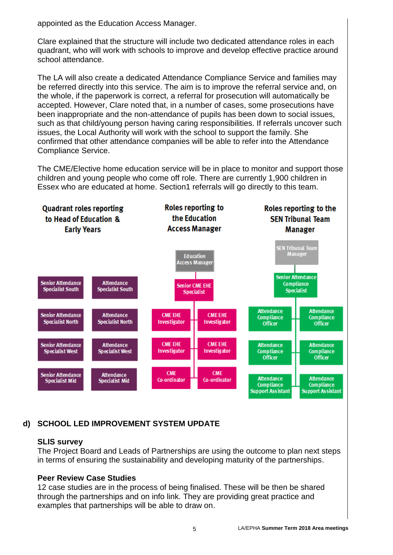appointed as the Education Access Manager.

Clare explained that the structure will include two dedicated attendance roles in each quadrant, who will work with schools to improve and develop effective practice around school attendance.

The LA will also create a dedicated Attendance Compliance Service and families may be referred directly into this service. The aim is to improve the referral service and, on the whole, if the paperwork is correct, a referral for prosecution will automatically be accepted. However, Clare noted that, in a number of cases, some prosecutions have been inappropriate and the non-attendance of pupils has been down to social issues, such as that child/young person having caring responsibilities. If referrals uncover such issues, the Local Authority will work with the school to support the family. She confirmed that other attendance companies will be able to refer into the Attendance Compliance Service.

The CME/Elective home education service will be in place to monitor and support those children and young people who come off role. There are currently 1,900 children in Essex who are educated at home. Section1 referrals will go directly to this team.



# **d) SCHOOL LED IMPROVEMENT SYSTEM UPDATE**

#### **SLIS survey**

The Project Board and Leads of Partnerships are using the outcome to plan next steps in terms of ensuring the sustainability and developing maturity of the partnerships.

#### **Peer Review Case Studies**

12 case studies are in the process of being finalised. These will be then be shared through the partnerships and on info link. They are providing great practice and examples that partnerships will be able to draw on.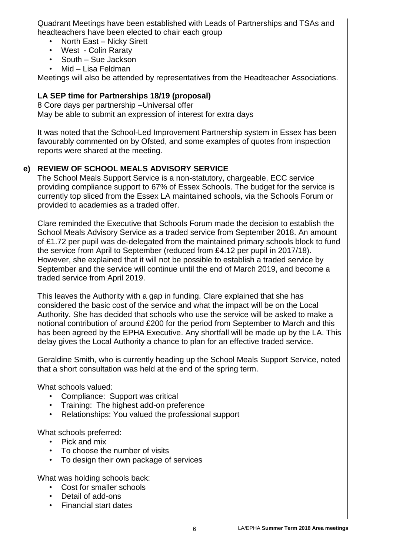Quadrant Meetings have been established with Leads of Partnerships and TSAs and headteachers have been elected to chair each group

- North East Nicky Sirett
- West Colin Raraty
- South Sue Jackson
- Mid Lisa Feldman

Meetings will also be attended by representatives from the Headteacher Associations.

#### **LA SEP time for Partnerships 18/19 (proposal)**

8 Core days per partnership –Universal offer May be able to submit an expression of interest for extra days

It was noted that the School-Led Improvement Partnership system in Essex has been favourably commented on by Ofsted, and some examples of quotes from inspection reports were shared at the meeting.

#### **e) REVIEW OF SCHOOL MEALS ADVISORY SERVICE**

The School Meals Support Service is a non-statutory, chargeable, ECC service providing compliance support to 67% of Essex Schools. The budget for the service is currently top sliced from the Essex LA maintained schools, via the Schools Forum or provided to academies as a traded offer.

Clare reminded the Executive that Schools Forum made the decision to establish the School Meals Advisory Service as a traded service from September 2018. An amount of £1.72 per pupil was de-delegated from the maintained primary schools block to fund the service from April to September (reduced from £4.12 per pupil in 2017/18). However, she explained that it will not be possible to establish a traded service by September and the service will continue until the end of March 2019, and become a traded service from April 2019.

This leaves the Authority with a gap in funding. Clare explained that she has considered the basic cost of the service and what the impact will be on the Local Authority. She has decided that schools who use the service will be asked to make a notional contribution of around £200 for the period from September to March and this has been agreed by the EPHA Executive. Any shortfall will be made up by the LA. This delay gives the Local Authority a chance to plan for an effective traded service.

Geraldine Smith, who is currently heading up the School Meals Support Service, noted that a short consultation was held at the end of the spring term.

What schools valued:

- Compliance: Support was critical
- Training: The highest add-on preference
- Relationships: You valued the professional support

What schools preferred:

- Pick and mix
- To choose the number of visits
- To design their own package of services

What was holding schools back:

- Cost for smaller schools
- Detail of add-ons
- Financial start dates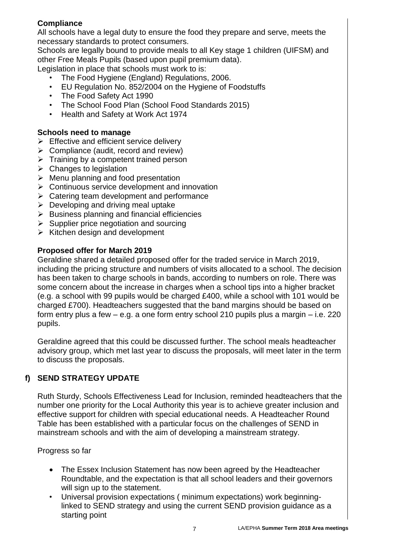# **Compliance**

All schools have a legal duty to ensure the food they prepare and serve, meets the necessary standards to protect consumers.

Schools are legally bound to provide meals to all Key stage 1 children (UIFSM) and other Free Meals Pupils (based upon pupil premium data).

Legislation in place that schools must work to is:

- The Food Hygiene (England) Regulations, 2006.
- EU Regulation No. 852/2004 on the Hygiene of Foodstuffs
- The Food Safety Act 1990
- The School Food Plan (School Food Standards 2015)
- Health and Safety at Work Act 1974

## **Schools need to manage**

- $\triangleright$  Effective and efficient service delivery
- $\triangleright$  Compliance (audit, record and review)
- $\triangleright$  Training by a competent trained person
- $\triangleright$  Changes to legislation
- $\triangleright$  Menu planning and food presentation
- $\triangleright$  Continuous service development and innovation
- $\triangleright$  Catering team development and performance
- $\triangleright$  Developing and driving meal uptake
- $\triangleright$  Business planning and financial efficiencies
- $\triangleright$  Supplier price negotiation and sourcing
- $\triangleright$  Kitchen design and development

# **Proposed offer for March 2019**

Geraldine shared a detailed proposed offer for the traded service in March 2019, including the pricing structure and numbers of visits allocated to a school. The decision has been taken to charge schools in bands, according to numbers on role. There was some concern about the increase in charges when a school tips into a higher bracket (e.g. a school with 99 pupils would be charged £400, while a school with 101 would be charged £700). Headteachers suggested that the band margins should be based on form entry plus a few – e.g. a one form entry school 210 pupils plus a margin – i.e. 220 pupils.

Geraldine agreed that this could be discussed further. The school meals headteacher advisory group, which met last year to discuss the proposals, will meet later in the term to discuss the proposals.

# **f) SEND STRATEGY UPDATE**

Ruth Sturdy, Schools Effectiveness Lead for Inclusion, reminded headteachers that the number one priority for the Local Authority this year is to achieve greater inclusion and effective support for children with special educational needs. A Headteacher Round Table has been established with a particular focus on the challenges of SEND in mainstream schools and with the aim of developing a mainstream strategy.

Progress so far

- The Essex Inclusion Statement has now been agreed by the Headteacher Roundtable, and the expectation is that all school leaders and their governors will sign up to the statement.
- Universal provision expectations ( minimum expectations) work beginninglinked to SEND strategy and using the current SEND provision guidance as a starting point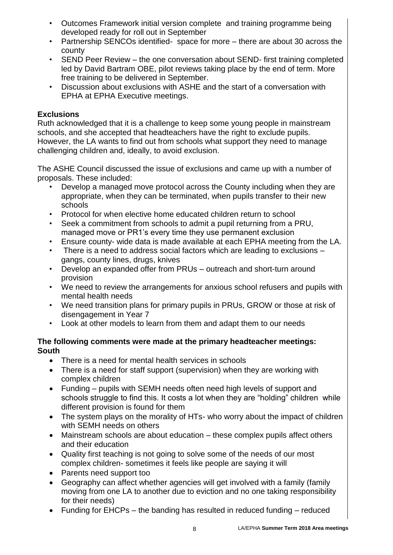- Outcomes Framework initial version complete and training programme being developed ready for roll out in September
- Partnership SENCOs identified- space for more there are about 30 across the county
- SEND Peer Review the one conversation about SEND- first training completed led by David Bartram OBE, pilot reviews taking place by the end of term. More free training to be delivered in September.
- Discussion about exclusions with ASHE and the start of a conversation with EPHA at EPHA Executive meetings.

#### **Exclusions**

Ruth acknowledged that it is a challenge to keep some young people in mainstream schools, and she accepted that headteachers have the right to exclude pupils. However, the LA wants to find out from schools what support they need to manage challenging children and, ideally, to avoid exclusion.

The ASHE Council discussed the issue of exclusions and came up with a number of proposals. These included:

- Develop a managed move protocol across the County including when they are appropriate, when they can be terminated, when pupils transfer to their new schools
- Protocol for when elective home educated children return to school
- Seek a commitment from schools to admit a pupil returning from a PRU, managed move or PR1's every time they use permanent exclusion
- Ensure county- wide data is made available at each EPHA meeting from the LA.
- There is a need to address social factors which are leading to exclusions gangs, county lines, drugs, knives
- Develop an expanded offer from PRUs outreach and short-turn around provision
- We need to review the arrangements for anxious school refusers and pupils with mental health needs
- We need transition plans for primary pupils in PRUs, GROW or those at risk of disengagement in Year 7
- Look at other models to learn from them and adapt them to our needs

#### **The following comments were made at the primary headteacher meetings: South**

- There is a need for mental health services in schools
- There is a need for staff support (supervision) when they are working with complex children
- Funding pupils with SEMH needs often need high levels of support and schools struggle to find this. It costs a lot when they are "holding" children while different provision is found for them
- The system plays on the morality of HTs- who worry about the impact of children with SEMH needs on others
- Mainstream schools are about education these complex pupils affect others and their education
- Quality first teaching is not going to solve some of the needs of our most complex children- sometimes it feels like people are saying it will
- Parents need support too
- Geography can affect whether agencies will get involved with a family (family moving from one LA to another due to eviction and no one taking responsibility for their needs)
- Funding for EHCPs the banding has resulted in reduced funding reduced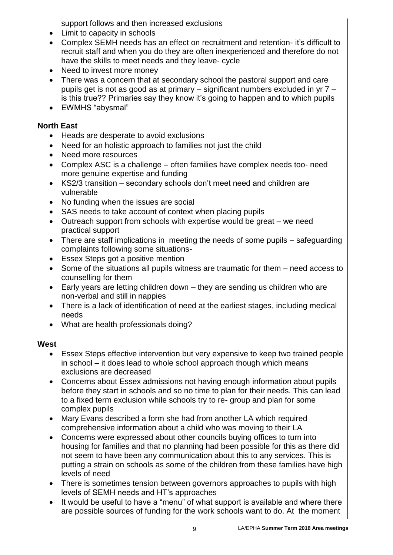support follows and then increased exclusions

- Limit to capacity in schools
- Complex SEMH needs has an effect on recruitment and retention- it's difficult to recruit staff and when you do they are often inexperienced and therefore do not have the skills to meet needs and they leave- cycle
- Need to invest more money
- There was a concern that at secondary school the pastoral support and care pupils get is not as good as at primary – significant numbers excluded in yr 7 – is this true?? Primaries say they know it's going to happen and to which pupils
- EWMHS "abysmal"

# **North East**

- Heads are desperate to avoid exclusions
- Need for an holistic approach to families not just the child
- Need more resources
- Complex ASC is a challenge often families have complex needs too- need more genuine expertise and funding
- KS2/3 transition secondary schools don't meet need and children are vulnerable
- No funding when the issues are social
- SAS needs to take account of context when placing pupils
- Outreach support from schools with expertise would be great we need practical support
- There are staff implications in meeting the needs of some pupils safeguarding complaints following some situations-
- Essex Steps got a positive mention
- Some of the situations all pupils witness are traumatic for them need access to counselling for them
- Early years are letting children down they are sending us children who are non-verbal and still in nappies
- There is a lack of identification of need at the earliest stages, including medical needs
- What are health professionals doing?

#### **West**

- Essex Steps effective intervention but very expensive to keep two trained people in school – it does lead to whole school approach though which means exclusions are decreased
- Concerns about Essex admissions not having enough information about pupils before they start in schools and so no time to plan for their needs. This can lead to a fixed term exclusion while schools try to re- group and plan for some complex pupils
- Mary Evans described a form she had from another LA which required comprehensive information about a child who was moving to their LA
- Concerns were expressed about other councils buying offices to turn into housing for families and that no planning had been possible for this as there did not seem to have been any communication about this to any services. This is putting a strain on schools as some of the children from these families have high levels of need
- There is sometimes tension between governors approaches to pupils with high levels of SEMH needs and HT's approaches
- It would be useful to have a "menu" of what support is available and where there are possible sources of funding for the work schools want to do. At the moment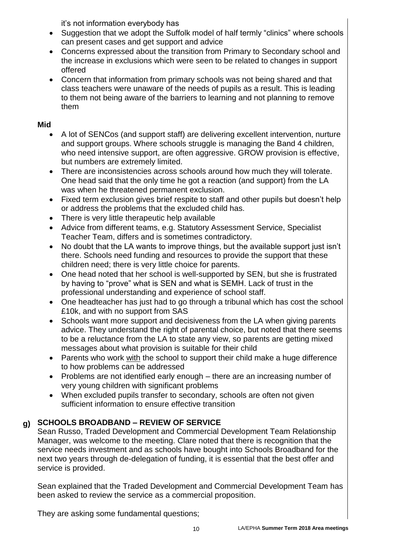it's not information everybody has

- Suggestion that we adopt the Suffolk model of half termly "clinics" where schools can present cases and get support and advice
- Concerns expressed about the transition from Primary to Secondary school and the increase in exclusions which were seen to be related to changes in support offered
- Concern that information from primary schools was not being shared and that class teachers were unaware of the needs of pupils as a result. This is leading to them not being aware of the barriers to learning and not planning to remove them

## **Mid**

- A lot of SENCos (and support staff) are delivering excellent intervention, nurture and support groups. Where schools struggle is managing the Band 4 children, who need intensive support, are often aggressive. GROW provision is effective, but numbers are extremely limited.
- There are inconsistencies across schools around how much they will tolerate. One head said that the only time he got a reaction (and support) from the LA was when he threatened permanent exclusion.
- Fixed term exclusion gives brief respite to staff and other pupils but doesn't help or address the problems that the excluded child has.
- There is very little therapeutic help available
- Advice from different teams, e.g. Statutory Assessment Service, Specialist Teacher Team, differs and is sometimes contradictory.
- No doubt that the LA wants to improve things, but the available support just isn't there. Schools need funding and resources to provide the support that these children need; there is very little choice for parents.
- One head noted that her school is well-supported by SEN, but she is frustrated by having to "prove" what is SEN and what is SEMH. Lack of trust in the professional understanding and experience of school staff.
- One headteacher has just had to go through a tribunal which has cost the school £10k, and with no support from SAS
- Schools want more support and decisiveness from the LA when giving parents advice. They understand the right of parental choice, but noted that there seems to be a reluctance from the LA to state any view, so parents are getting mixed messages about what provision is suitable for their child
- Parents who work with the school to support their child make a huge difference to how problems can be addressed
- Problems are not identified early enough there are an increasing number of very young children with significant problems
- When excluded pupils transfer to secondary, schools are often not given sufficient information to ensure effective transition

#### **g) SCHOOLS BROADBAND – REVIEW OF SERVICE**

Sean Russo, Traded Development and Commercial Development Team Relationship Manager, was welcome to the meeting. Clare noted that there is recognition that the service needs investment and as schools have bought into Schools Broadband for the next two years through de-delegation of funding, it is essential that the best offer and service is provided.

Sean explained that the Traded Development and Commercial Development Team has been asked to review the service as a commercial proposition.

They are asking some fundamental questions;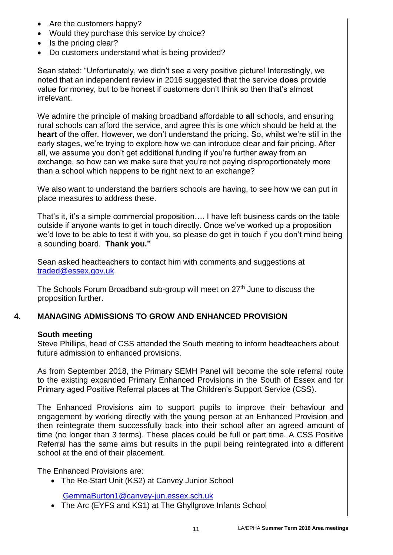- Are the customers happy?
- Would they purchase this service by choice?
- Is the pricing clear?
- Do customers understand what is being provided?

Sean stated: "Unfortunately, we didn't see a very positive picture! Interestingly, we noted that an independent review in 2016 suggested that the service **does** provide value for money, but to be honest if customers don't think so then that's almost irrelevant.

We admire the principle of making broadband affordable to **all** schools, and ensuring rural schools can afford the service, and agree this is one which should be held at the **heart** of the offer. However, we don't understand the pricing. So, whilst we're still in the early stages, we're trying to explore how we can introduce clear and fair pricing. After all, we assume you don't get additional funding if you're further away from an exchange, so how can we make sure that you're not paying disproportionately more than a school which happens to be right next to an exchange?

We also want to understand the barriers schools are having, to see how we can put in place measures to address these.

That's it, it's a simple commercial proposition…. I have left business cards on the table outside if anyone wants to get in touch directly. Once we've worked up a proposition we'd love to be able to test it with you, so please do get in touch if you don't mind being a sounding board. **Thank you."**

Sean asked headteachers to contact him with comments and suggestions at [traded@essex.gov.uk](mailto:traded@essex.gov.uk)

The Schools Forum Broadband sub-group will meet on 27<sup>th</sup> June to discuss the proposition further.

# **4. MANAGING ADMISSIONS TO GROW AND ENHANCED PROVISION**

#### **South meeting**

Steve Phillips, head of CSS attended the South meeting to inform headteachers about future admission to enhanced provisions.

As from September 2018, the Primary SEMH Panel will become the sole referral route to the existing expanded Primary Enhanced Provisions in the South of Essex and for Primary aged Positive Referral places at The Children's Support Service (CSS).

The Enhanced Provisions aim to support pupils to improve their behaviour and engagement by working directly with the young person at an Enhanced Provision and then reintegrate them successfully back into their school after an agreed amount of time (no longer than 3 terms). These places could be full or part time. A CSS Positive Referral has the same aims but results in the pupil being reintegrated into a different school at the end of their placement.

The Enhanced Provisions are:

• The Re-Start Unit (KS2) at Canvey Junior School

[GemmaBurton1@canvey-jun.essex.sch.uk](mailto:GemmaBurton1@canvey-jun.essex.sch.uk)

• The Arc (EYFS and KS1) at The Ghyllgrove Infants School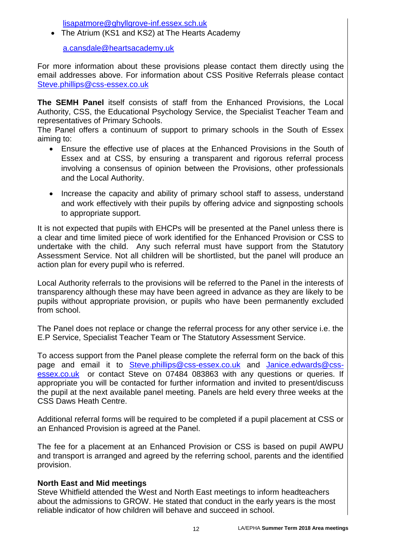[lisapatmore@ghyllgrove-inf.essex.sch.uk](mailto:lisapatmore@ghyllgrove-inf.essex.sch.uk)

• The Atrium (KS1 and KS2) at The Hearts Academy

[a.cansdale@heartsacademy.uk](mailto:a.cansdale@heartsacademy.uk)

For more information about these provisions please contact them directly using the email addresses above. For information about CSS Positive Referrals please contact [Steve.phillips@css-essex.co.uk](mailto:Steve.phillips@css-essex.co.uk)

**The SEMH Panel** itself consists of staff from the Enhanced Provisions, the Local Authority, CSS, the Educational Psychology Service, the Specialist Teacher Team and representatives of Primary Schools.

The Panel offers a continuum of support to primary schools in the South of Essex aiming to:

- Ensure the effective use of places at the Enhanced Provisions in the South of Essex and at CSS, by ensuring a transparent and rigorous referral process involving a consensus of opinion between the Provisions, other professionals and the Local Authority.
- Increase the capacity and ability of primary school staff to assess, understand and work effectively with their pupils by offering advice and signposting schools to appropriate support.

It is not expected that pupils with EHCPs will be presented at the Panel unless there is a clear and time limited piece of work identified for the Enhanced Provision or CSS to undertake with the child. Any such referral must have support from the Statutory Assessment Service. Not all children will be shortlisted, but the panel will produce an action plan for every pupil who is referred.

Local Authority referrals to the provisions will be referred to the Panel in the interests of transparency although these may have been agreed in advance as they are likely to be pupils without appropriate provision, or pupils who have been permanently excluded from school.

The Panel does not replace or change the referral process for any other service i.e. the E.P Service, Specialist Teacher Team or The Statutory Assessment Service.

To access support from the Panel please complete the referral form on the back of this page and email it to [Steve.phillips@css-essex.co.uk](mailto:Steve.phillips@css-essex.co.uk) and [Janice.edwards@css](mailto:Janice.edwards@css-essex.co.uk)[essex.co.uk](mailto:Janice.edwards@css-essex.co.uk) or contact Steve on 07484 083863 with any questions or queries. If appropriate you will be contacted for further information and invited to present/discuss the pupil at the next available panel meeting. Panels are held every three weeks at the CSS Daws Heath Centre.

Additional referral forms will be required to be completed if a pupil placement at CSS or an Enhanced Provision is agreed at the Panel.

The fee for a placement at an Enhanced Provision or CSS is based on pupil AWPU and transport is arranged and agreed by the referring school, parents and the identified provision.

#### **North East and Mid meetings**

Steve Whitfield attended the West and North East meetings to inform headteachers about the admissions to GROW. He stated that conduct in the early years is the most reliable indicator of how children will behave and succeed in school.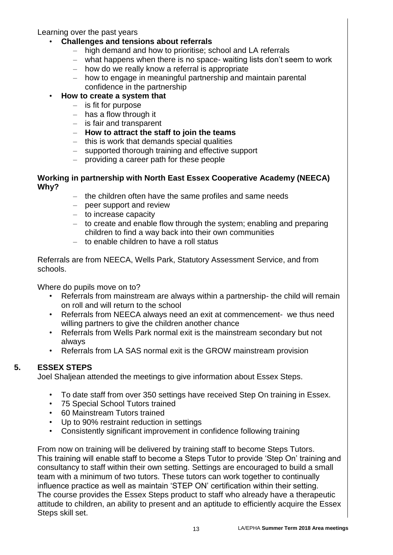Learning over the past years

#### • **Challenges and tensions about referrals**

- high demand and how to prioritise; school and LA referrals
- what happens when there is no space- waiting lists don't seem to work
- how do we really know a referral is appropriate
- how to engage in meaningful partnership and maintain parental confidence in the partnership

#### • **How to create a system that**

- is fit for purpose
- has a flow through it
- is fair and transparent
- **How to attract the staff to join the teams**
- this is work that demands special qualities
- supported thorough training and effective support
- providing a career path for these people

#### **Working in partnership with North East Essex Cooperative Academy (NEECA) Why?**

- the children often have the same profiles and same needs
- peer support and review
- to increase capacity
- to create and enable flow through the system; enabling and preparing children to find a way back into their own communities
- to enable children to have a roll status

Referrals are from NEECA, Wells Park, Statutory Assessment Service, and from schools.

Where do pupils move on to?

- Referrals from mainstream are always within a partnership- the child will remain on roll and will return to the school
- Referrals from NEECA always need an exit at commencement- we thus need willing partners to give the children another chance
- Referrals from Wells Park normal exit is the mainstream secondary but not always
- Referrals from LA SAS normal exit is the GROW mainstream provision

# **5. ESSEX STEPS**

Joel Shaljean attended the meetings to give information about Essex Steps.

- To date staff from over 350 settings have received Step On training in Essex.
- 75 Special School Tutors trained
- 60 Mainstream Tutors trained
- Up to 90% restraint reduction in settings
- Consistently significant improvement in confidence following training

From now on training will be delivered by training staff to become Steps Tutors. This training will enable staff to become a Steps Tutor to provide 'Step On' training and consultancy to staff within their own setting. Settings are encouraged to build a small team with a minimum of two tutors. These tutors can work together to continually influence practice as well as maintain 'STEP ON' certification within their setting. The course provides the Essex Steps product to staff who already have a therapeutic attitude to children, an ability to present and an aptitude to efficiently acquire the Essex Steps skill set.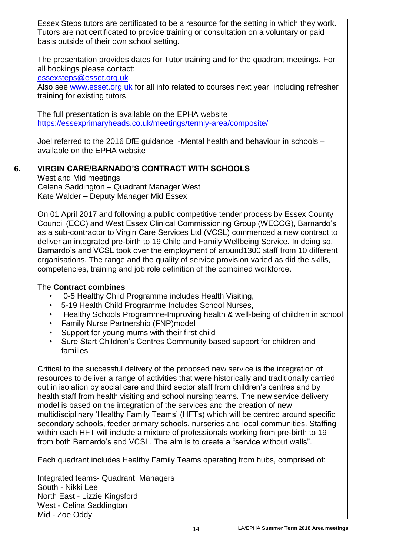Essex Steps tutors are certificated to be a resource for the setting in which they work. Tutors are not certificated to provide training or consultation on a voluntary or paid basis outside of their own school setting.

The presentation provides dates for Tutor training and for the quadrant meetings. For all bookings please contact:

[essexsteps@esset.org.uk](mailto:essexsteps@esset.org.uk)

Also see [www.esset.org.uk](http://www.esset.org.uk/) for all info related to courses next year, including refresher training for existing tutors

The full presentation is available on the EPHA website <https://essexprimaryheads.co.uk/meetings/termly-area/composite/>

Joel referred to the 2016 DfE guidance -Mental health and behaviour in schools – available on the EPHA website

#### **6. VIRGIN CARE/BARNADO'S CONTRACT WITH SCHOOLS**

West and Mid meetings Celena Saddington – Quadrant Manager West Kate Walder – Deputy Manager Mid Essex

On 01 April 2017 and following a public competitive tender process by Essex County Council (ECC) and West Essex Clinical Commissioning Group (WECCG), Barnardo's as a sub-contractor to Virgin Care Services Ltd (VCSL) commenced a new contract to deliver an integrated pre-birth to 19 Child and Family Wellbeing Service. In doing so, Barnardo's and VCSL took over the employment of around1300 staff from 10 different organisations. The range and the quality of service provision varied as did the skills, competencies, training and job role definition of the combined workforce.

#### The **Contract combines**

- 0-5 Healthy Child Programme includes Health Visiting,
- 5-19 Health Child Programme Includes School Nurses,
- Healthy Schools Programme-Improving health & well-being of children in school
- Family Nurse Partnership (FNP)model
- Support for young mums with their first child
- Sure Start Children's Centres Community based support for children and families

Critical to the successful delivery of the proposed new service is the integration of resources to deliver a range of activities that were historically and traditionally carried out in isolation by social care and third sector staff from children's centres and by health staff from health visiting and school nursing teams. The new service delivery model is based on the integration of the services and the creation of new multidisciplinary 'Healthy Family Teams' (HFTs) which will be centred around specific secondary schools, feeder primary schools, nurseries and local communities. Staffing within each HFT will include a mixture of professionals working from pre-birth to 19 from both Barnardo's and VCSL. The aim is to create a "service without walls".

Each quadrant includes Healthy Family Teams operating from hubs, comprised of:

Integrated teams- Quadrant Managers South - Nikki Lee North East - Lizzie Kingsford West - Celina Saddington Mid - Zoe Oddy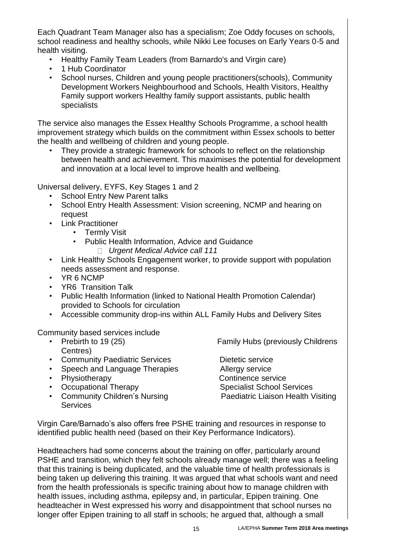Each Quadrant Team Manager also has a specialism; Zoe Oddy focuses on schools, school readiness and healthy schools, while Nikki Lee focuses on Early Years 0-5 and health visiting.

- Healthy Family Team Leaders (from Barnardo's and Virgin care)
- 1 Hub Coordinator
- School nurses, Children and young people practitioners(schools), Community Development Workers Neighbourhood and Schools, Health Visitors, Healthy Family support workers Healthy family support assistants, public health specialists

The service also manages the Essex Healthy Schools Programme, a school health improvement strategy which builds on the commitment within Essex schools to better the health and wellbeing of children and young people.

They provide a strategic framework for schools to reflect on the relationship between health and achievement. This maximises the potential for development and innovation at a local level to improve health and wellbeing.

Universal delivery, EYFS, Key Stages 1 and 2

- School Entry New Parent talks
- School Entry Health Assessment: Vision screening, NCMP and hearing on request
- Link Practitioner
	- Termly Visit
	- Public Health Information, Advice and Guidance
		- *Urgent Medical Advice call 111*
- Link Healthy Schools Engagement worker, to provide support with population needs assessment and response.
- YR 6 NCMP
- YR6 Transition Talk
- Public Health Information (linked to National Health Promotion Calendar) provided to Schools for circulation
- Accessible community drop-ins within ALL Family Hubs and Delivery Sites

Community based services include

- Centres)
- Community Paediatric Services Dietetic service
- Speech and Language Therapies Allergy service
- 
- 
- Community Children's Nursing Paediatric Liaison Health Visiting **Services**

• Prebirth to 19 (25) The Family Hubs (previously Childrens

• Physiotherapy **Continence service** • Occupational Therapy Specialist School Services

Virgin Care/Barnado's also offers free PSHE training and resources in response to identified public health need (based on their Key Performance Indicators).

Headteachers had some concerns about the training on offer, particularly around PSHE and transition, which they felt schools already manage well; there was a feeling that this training is being duplicated, and the valuable time of health professionals is being taken up delivering this training. It was argued that what schools want and need from the health professionals is specific training about how to manage children with health issues, including asthma, epilepsy and, in particular, Epipen training. One headteacher in West expressed his worry and disappointment that school nurses no longer offer Epipen training to all staff in schools; he argued that, although a small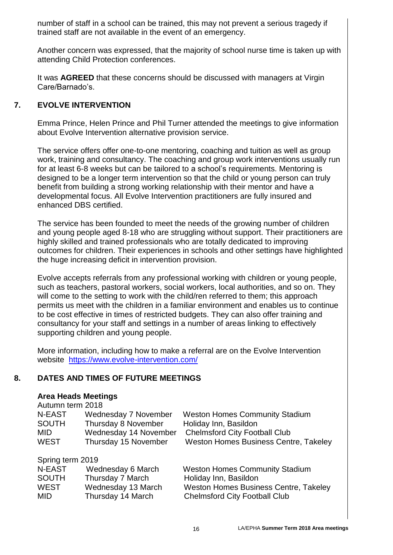number of staff in a school can be trained, this may not prevent a serious tragedy if trained staff are not available in the event of an emergency.

Another concern was expressed, that the majority of school nurse time is taken up with attending Child Protection conferences.

It was **AGREED** that these concerns should be discussed with managers at Virgin Care/Barnado's.

#### **7. EVOLVE INTERVENTION**

Emma Prince, Helen Prince and Phil Turner attended the meetings to give information about Evolve Intervention alternative provision service.

The service offers offer one-to-one mentoring, coaching and tuition as well as group work, training and consultancy. The coaching and group work interventions usually run for at least 6-8 weeks but can be tailored to a school's requirements. Mentoring is designed to be a longer term intervention so that the child or young person can truly benefit from building a strong working relationship with their mentor and have a developmental focus. All Evolve Intervention practitioners are fully insured and enhanced DBS certified.

The service has been founded to meet the needs of the growing number of children and young people aged 8-18 who are struggling without support. Their practitioners are highly skilled and trained professionals who are totally dedicated to improving outcomes for children. Their experiences in schools and other settings have highlighted the huge increasing deficit in intervention provision.

Evolve accepts referrals from any professional working with children or young people, such as teachers, pastoral workers, social workers, local authorities, and so on. They will come to the setting to work with the child/ren referred to them; this approach permits us meet with the children in a familiar environment and enables us to continue to be cost effective in times of restricted budgets. They can also offer training and consultancy for your staff and settings in a number of areas linking to effectively supporting children and young people.

More information, including how to make a referral are on the Evolve Intervention website <https://www.evolve-intervention.com/>

#### **8. DATES AND TIMES OF FUTURE MEETINGS**

#### **Area Heads Meetings**

Autumn term 2018

| N-EAST       | Wednesday 7 November  | <b>Weston Homes Community Stadium</b> |
|--------------|-----------------------|---------------------------------------|
| <b>SOUTH</b> | Thursday 8 November   | Holiday Inn, Basildon                 |
| <b>MID</b>   | Wednesday 14 November | <b>Chelmsford City Football Club</b>  |
| <b>WEST</b>  | Thursday 15 November  | Weston Homes Business Centre, Takeley |

Spring term 2019

| N-EAST       | Wednesday 6 March  | <b>Weston Homes Community Stadium</b>        |  |  |  |  |
|--------------|--------------------|----------------------------------------------|--|--|--|--|
| <b>SOUTH</b> | Thursday 7 March   | Holiday Inn, Basildon                        |  |  |  |  |
| WEST         | Wednesday 13 March | <b>Weston Homes Business Centre, Takeley</b> |  |  |  |  |
| MID          | Thursday 14 March  | <b>Chelmsford City Football Club</b>         |  |  |  |  |
|              |                    |                                              |  |  |  |  |